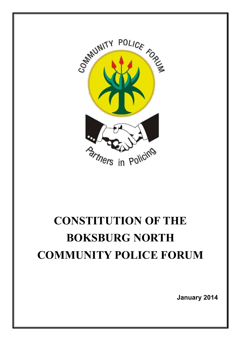

# **CONSTITUTION OF THE BOKSBURG NORTH COMMUNITY POLICE FORUM**

**January 2014**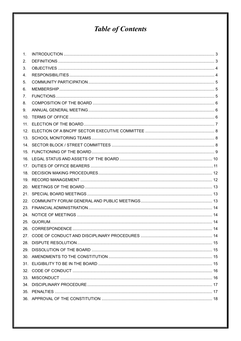# **Table of Contents**

| 1.              |  |
|-----------------|--|
| 2.              |  |
| 3.              |  |
| 4.              |  |
| 5.              |  |
| 6.              |  |
| 7.              |  |
| 8.              |  |
| 9.              |  |
| 10 <sub>1</sub> |  |
| 11.             |  |
|                 |  |
|                 |  |
|                 |  |
|                 |  |
|                 |  |
|                 |  |
| 18.             |  |
|                 |  |
| 20.             |  |
|                 |  |
| 22.             |  |
| 23.             |  |
|                 |  |
| 25.             |  |
|                 |  |
|                 |  |
|                 |  |
|                 |  |
|                 |  |
|                 |  |
|                 |  |
|                 |  |
|                 |  |
|                 |  |
|                 |  |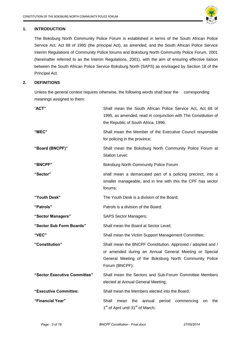

# <span id="page-2-0"></span>**1. INTRODUCTION**

The Boksburg North Community Police Forum is established in terms of the South African Police Service Act, Act 68 of 1995 (the principal Act), as amended, and the South African Police Service Interim Regulations of Community Police forums and Boksburg North Community Police Forum, 2001 (hereinafter referred to as the Interim Regulations, 2001), with the aim of ensuring effective liaison between the South African Police Service Boksburg North (SAPS) as envisaged by Section 18 of the Principal Act.

# <span id="page-2-1"></span>**2. DEFINITIONS**

Unless the general context requires otherwise, the following words shall bear the corresponding meanings assigned to them:

| "ACT"                        | Shall mean the South African Police Service Act, Act 68 of<br>1995, as amended, read in conjunction with The Constitution of<br>the Republic of South Africa, 1996;                               |
|------------------------------|---------------------------------------------------------------------------------------------------------------------------------------------------------------------------------------------------|
| "MEC"                        | Shall mean the Member of the Executive Council responsible<br>for policing in the province;                                                                                                       |
| "Board (BNCPF)"              | Shall mean the Boksburg North Community Police Forum at<br>Station Level;                                                                                                                         |
| <b>"BNCPF"</b>               | Boksburg North Community Police Forum                                                                                                                                                             |
| "Sector"                     | shall mean a demarcated part of a policing precinct, into a<br>smaller manageable, and in line with this the CPF has sector<br>forums;                                                            |
| "Youth Desk"                 | The Youth Desk is a division of the Board;                                                                                                                                                        |
| "Patrols"                    | Patrols is a division of the Board;                                                                                                                                                               |
| "Sector Managers"            | <b>SAPS Sector Managers;</b>                                                                                                                                                                      |
| "Sector Sub Form Boards"     | Shall mean the Board at Sector Level;                                                                                                                                                             |
| "VEC"                        | Shall mean the Victim Support Management Committee;                                                                                                                                               |
| "Constitution"               | Shall mean the BNCPF Constitution. Approved / adopted and /<br>or amended during an Annual General Meeting or Special<br>General Meeting of the Boksburg North Community Police<br>Forum (BNCPF); |
| "Sector Executive Committee" | Shall mean the Sectors and Sub-Forum Committee Members<br>elected at Annual General Meeting;                                                                                                      |
| "Executive Committee:        | Shall mean the Members elected into the Board;                                                                                                                                                    |
| "Financial Year"             | Shall<br>period<br>mean<br>the<br>annual<br>commencing<br>the<br>on<br>1 <sup>st</sup> of April until 31 <sup>st</sup> of March;                                                                  |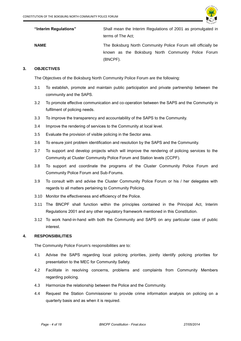

| "Interim Regulations" | Shall mean the Interim Regulations of 2001 as promulgated in<br>terms of The Act;                                  |
|-----------------------|--------------------------------------------------------------------------------------------------------------------|
| <b>NAME</b>           | The Boksburg North Community Police Forum will officially be<br>known as the Boksburg North Community Police Forum |
|                       | (BNCPF).                                                                                                           |

# <span id="page-3-0"></span>**3. OBJECTIVES**

The Objectives of the Boksburg North Community Police Forum are the following:

- 3.1 To establish, promote and maintain public participation and private partnership between the community and the SAPS.
- 3.2 To promote effective communication and co-operation between the SAPS and the Community in fulfilment of policing needs.
- 3.3 To improve the transparency and accountability of the SAPS to the Community.
- 3.4 Improve the rendering of services to the Community at local level.
- 3.5 Evaluate the provision of visible policing in the Sector area.
- 3.6 To ensure joint problem identification and resolution by the SAPS and the Community.
- 3.7 To support and develop projects which will improve the rendering of policing services to the Community at Cluster Community Police Forum and Station levels (CCPF).
- 3.8 To support and coordinate the programs of the Cluster Community Police Forum and Community Police Forum and Sub-Forums.
- 3.9 To consult with and advise the Cluster Community Police Forum or his / her delegates with regards to all matters pertaining to Community Policing.
- 3.10 Monitor the effectiveness and efficiency of the Police.
- 3.11 The BNCPF shall function within the principles contained in the Principal Act, Interim Regulations 2001 and any other regulatory framework mentioned in this Constitution.
- 3.12 To work hand-in-hand with both the Community and SAPS on any particular case of public interest.

# <span id="page-3-1"></span>**4. RESPONSIBILITIES**

The Community Police Forum's responsibilities are to:

- 4.1 Advise the SAPS regarding local policing priorities, jointly identify policing priorities for presentation to the MEC for Community Safety.
- 4.2 Facilitate in resolving concerns, problems and complaints from Community Members regarding policing.
- 4.3 Harmonize the relationship between the Police and the Community.
- 4.4 Request the Station Commissioner to provide crime information analysis on policing on a quarterly basis and as when it is required.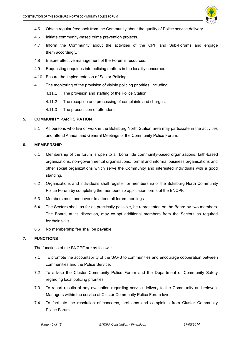

- 4.5 Obtain regular feedback from the Community about the quality of Police service delivery.
- 4.6 Initiate community-based crime prevention projects.
- 4.7 Inform the Community about the activities of the CPF and Sub-Forums and engage them accordingly.
- 4.8 Ensure effective management of the Forum's resources.
- 4.9 Requesting enquiries into policing matters in the locality concerned.
- 4.10 Ensure the implementation of Sector Policing.
- 4.11 The monitoring of the provision of visible policing priorities, including:
	- 4.11.1 The provision and staffing of the Police Station.
	- 4.11.2 The reception and processing of complaints and charges.
	- 4.11.3 The prosecution of offenders.

# <span id="page-4-0"></span>**5. COMMUNITY PARTICIPATION**

5.1 All persons who live or work in the Boksburg North Station area may participate in the activities and attend Annual and General Meetings of the Community Police Forum.

# <span id="page-4-1"></span>**6. MEMBERSHIP**

- 6.1 Membership of the forum is open to all bona fide community-based organizations, faith-based organizations, non-governmental organisations, formal and informal business organisations and other social organizations which serve the Community and interested individuals with a good standing.
- 6.2 Organizations and individuals shall register for membership of the Boksburg North Community Police Forum by completing the membership application forms of the BNCPF.
- 6.3 Members must endeavour to attend all forum meetings.
- 6.4 The Sectors shall, as far as practically possible, be represented on the Board by two members. The Board, at its discretion, may co-opt additional members from the Sectors as required for their skills.
- 6.5 No membership fee shall be payable.

# <span id="page-4-2"></span>**7. FUNCTIONS**

The functions of the BNCPF are as follows:

- 7.1 To promote the accountability of the SAPS to communities and encourage cooperation between communities and the Police Service.
- 7.2 To advise the Cluster Community Police Forum and the Department of Community Safety regarding local policing priorities.
- 7.3 To report results of any evaluation regarding service delivery to the Community and relevant Managers within the service at Cluster Community Police Forum level.
- 7.4 To facilitate the resolution of concerns, problems and complaints from Cluster Community Police Forum.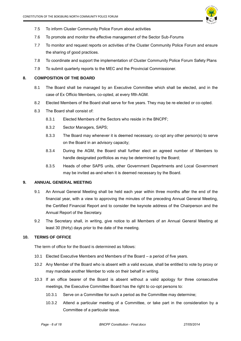

- 7.5 To inform Cluster Community Police Forum about activities
- 7.6 To promote and monitor the effective management of the Sector Sub-Forums
- 7.7 To monitor and request reports on activities of the Cluster Community Police Forum and ensure the sharing of good practices.
- 7.8 To coordinate and support the implementation of Cluster Community Police Forum Safety Plans
- 7.9 To submit quarterly reports to the MEC and the Provincial Commissioner.

# <span id="page-5-0"></span>**8. COMPOSITION OF THE BOARD**

- 8.1 The Board shall be managed by an Executive Committee which shall be elected, and in the case of Ex Officio Members, co-opted, at every fifth AGM.
- 8.2 Elected Members of the Board shall serve for five years. They may be re-elected or co-opted.
- 8.3 The Board shall consist of:
	- 8.3.1 Elected Members of the Sectors who reside in the BNCPF;
	- 8.3.2 Sector Managers, SAPS;
	- 8.3.3 The Board may whenever it is deemed necessary, co-opt any other person(s) to serve on the Board in an advisory capacity;
	- 8.3.4 During the AGM, the Board shall further elect an agreed number of Members to handle designated portfolios as may be determined by the Board;
	- 8.3.5 Heads of other SAPS units, other Government Departments and Local Government may be invited as-and-when it is deemed necessary by the Board.

# <span id="page-5-1"></span>**9. ANNUAL GENERAL MEETING**

- 9.1 An Annual General Meeting shall be held each year within three months after the end of the financial year, with a view to approving the minutes of the preceding Annual General Meeting, the Certified Financial Report and to consider the keynote address of the Chairperson and the Annual Report of the Secretary.
- 9.2 The Secretary shall, in writing, give notice to all Members of an Annual General Meeting at least 30 (thirty) days prior to the date of the meeting.

# <span id="page-5-2"></span>**10. TERMS OF OFFICE**

The term of office for the Board is determined as follows:

- 10.1 Elected Executive Members and Members of the Board a period of five years.
- 10.2 Any Member of the Board who is absent with a valid excuse, shall be entitled to vote by proxy or may mandate another Member to vote on their behalf in writing.
- 10.3 If an office bearer of the Board is absent without a valid apology for three consecutive meetings, the Executive Committee Board has the right to co-opt persons to:
	- 10.3.1 Serve on a Committee for such a period as the Committee may determine;
	- 10.3.2 Attend a particular meeting of a Committee, or take part in the consideration by a Committee of a particular issue.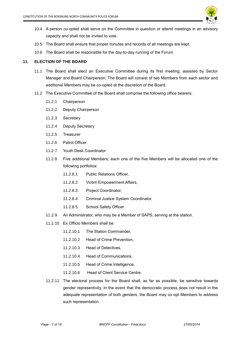

- 10.4 A person co-opted shall serve on the Committee in question or attend meetings in an advisory capacity and shall not be invited to vote.
- 10.5 The Board shall ensure that proper minutes and records of all meetings are kept.
- 10.6 The Board shall be responsible for the day-to-day running of the Forum

# <span id="page-6-0"></span>**11. ELECTION OF THE BOARD**

- 11.1 The Board shall elect an Executive Committee during its first meeting, assisted by Sector Manager and Board Chairperson; The Board will consist of two Members from each sector and additional Members may be co-opted at the discretion of the Board.
- 11.2 The Executive Committee of the Board shall comprise the following office bearers:
	- 11.2.1 Chairperson
	- 11.2.2 Deputy Chairperson
	- 11.2.3 Secretary
	- 11.2.4 Deputy Secretary
	- 11.2.5 Treasurer
	- 11.2.6 Patrol Officer
	- 11.2.7 Youth Desk Coordinator
	- 11.2.8 Five additional Members; each one of the five Members will be allocated one of the following portfolios:
		- 11.2.8.1 Public Relations Officer,
		- 11.2.8.2 Victim Empowerment Affairs,
		- 11.2.8.3 Project Coordinator,
		- 11.2.8.4 Criminal Justice System Coordinator,
		- 11.2.8.5 School Safety Officer.
	- 11.2.9 An Administrator, who may be a Member of SAPS, serving at the station.
	- 11.2.10 Ex Officio Members shall be:
		- 11.2.10.1 The Station Commander,
		- 11.2.10.2 Head of Crime Prevention,
		- 11.2.10.3 Head of Detectives,
		- 11.2.10.4 Head of Communications,
		- 11.2.10.5 Head of Crime Intelligence,
		- 11.2.10.6 Head of Client Service Centre.
	- 11.2.11 The electoral process for the Board shall, as far as possible, be sensitive towards gender representivity. In the event that the democratic process does not result in the adequate representation of both genders, the Board may co-opt Members to address such representation.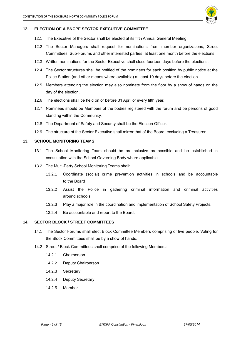

# <span id="page-7-0"></span>**12. ELECTION OF A BNCPF SECTOR EXECUTIVE COMMITTEE**

- 12.1 The Executive of the Sector shall be elected at its fifth Annual General Meeting.
- 12.2 The Sector Managers shall request for nominations from member organizations, Street Committees, Sub-Forums and other interested parties, at least one month before the elections.
- 12.3 Written nominations for the Sector Executive shall close fourteen days before the elections.
- 12.4 The Sector structures shall be notified of the nominees for each position by public notice at the Police Station (and other means where available) at least 10 days before the election.
- 12.5 Members attending the election may also nominate from the floor by a show of hands on the day of the election.
- 12.6 The elections shall be held on or before 31 April of every fifth year.
- 12.7 Nominees should be Members of the bodies registered with the forum and be persons of good standing within the Community.
- 12.8 The Department of Safety and Security shall be the Election Officer.
- 12.9 The structure of the Sector Executive shall mirror that of the Board, excluding a Treasurer.

# <span id="page-7-1"></span>**13. SCHOOL MONITORING TEAMS**

- 13.1 The School Monitoring Team should be as inclusive as possible and be established in consultation with the School Governing Body where applicable.
- 13.2 The Multi-Party School Monitoring Teams shall:
	- 13.2.1 Coordinate (social) crime prevention activities in schools and be accountable to the Board
	- 13.2.2 Assist the Police in gathering criminal information and criminal activities around schools.
	- 13.2.3 Play a major role in the coordination and implementation of School Safety Projects.
	- 13.2.4 Be accountable and report to the Board.

# <span id="page-7-2"></span>**14. SECTOR BLOCK / STREET COMMITTEES**

- 14.1 The Sector Forums shall elect Block Committee Members comprising of five people. Voting for the Block Committees shall be by a show of hands.
- 14.2 Street / Block Committees shall comprise of the following Members:
	- 14.2.1 Chairperson
	- 14.2.2 Deputy Chairperson
	- 14.2.3 Secretary
	- 14.2.4 Deputy Secretary
	- 14.2.5 Member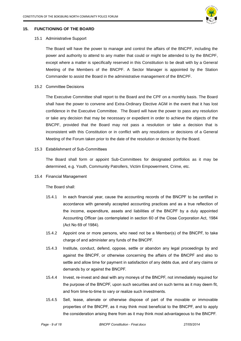

# <span id="page-8-0"></span>**15. FUNCTIONING OF THE BOARD**

#### 15.1 Administrative Support

The Board will have the power to manage and control the affairs of the BNCPF, including the power and authority to attend to any matter that could or might be attended to by the BNCPF, except where a matter is specifically reserved in this Constitution to be dealt with by a General Meeting of the Members of the BNCPF. A Sector Manager is appointed by the Station Commander to assist the Board in the administrative management of the BNCPF.

# 15.2 Committee Decisions

The Executive Committee shall report to the Board and the CPF on a monthly basis. The Board shall have the power to convene and Extra-Ordinary Elective AGM in the event that it has lost confidence in the Executive Committee. The Board will have the power to pass any resolution or take any decision that may be necessary or expedient in order to achieve the objects of the BNCPF, provided that the Board may not pass a resolution or take a decision that is inconsistent with this Constitution or in conflict with any resolutions or decisions of a General Meeting of the Forum taken prior to the date of the resolution or decision by the Board.

#### 15.3 Establishment of Sub-Committees

The Board shall form or appoint Sub-Committees for designated portfolios as it may be determined, e.g. Youth, Community Patrollers, Victim Empowerment, Crime, etc.

# 15.4 Financial Management

The Board shall:

- 15.4.1 In each financial year, cause the accounting records of the BNCPF to be certified in accordance with generally accepted accounting practices and as a true reflection of the income, expenditure, assets and liabilities of the BNCPF by a duly appointed Accounting Officer (as contemplated in section 60 of the Close Corporation Act, 1984 (Act No 69 of 1984).
- 15.4.2 Appoint one or more persons, who need not be a Member(s) of the BNCPF, to take charge of and administer any funds of the BNCPF.
- 15.4.3 Institute, conduct, defend, oppose, settle or abandon any legal proceedings by and against the BNCPF, or otherwise concerning the affairs of the BNCPF and also to settle and allow time for payment in satisfaction of any debts due, and of any claims or demands by or against the BNCPF.
- 15.4.4 Invest, re-invest and deal with any moneys of the BNCPF, not immediately required for the purpose of the BNCPF, upon such securities and on such terms as it may deem fit, and from time-to-time to vary or realize such investments.
- 15.4.5 Sell, lease, alienate or otherwise dispose of part of the movable or immovable properties of the BNCPF, as it may think most beneficial to the BNCPF, and to apply the consideration arising there from as it may think most advantageous to the BNCPF.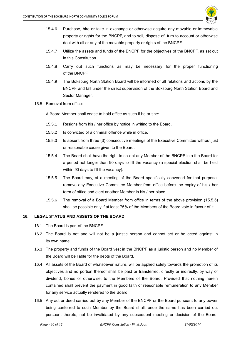

- 15.4.6 Purchase, hire or take in exchange or otherwise acquire any movable or immovable property or rights for the BNCPF, and to sell, dispose of, turn to account or otherwise deal with all or any of the movable property or rights of the BNCPF.
- 15.4.7 Utilize the assets and funds of the BNCPF for the objectives of the BNCPF, as set out in this Constitution.
- 15.4.8 Carry out such functions as may be necessary for the proper functioning of the BNCPF.
- 15.4.9 The Boksburg North Station Board will be informed of all relations and actions by the BNCPF and fall under the direct supervision of the Boksburg North Station Board and Sector Manager.
- 15.5 Removal from office:

A Board Member shall cease to hold office as such if he or she:

- 15.5.1 Resigns from his / her office by notice in writing to the Board.
- 15.5.2 Is convicted of a criminal offence while in office.
- 15.5.3 Is absent from three (3) consecutive meetings of the Executive Committee without just or reasonable cause given to the Board.
- 15.5.4 The Board shall have the right to co-opt any Member of the BNCPF into the Board for a period not longer than 90 days to fill the vacancy (a special election shall be held within 90 days to fill the vacancy).
- 15.5.5 The Board may, at a meeting of the Board specifically convened for that purpose, remove any Executive Committee Member from office before the expiry of his / her term of office and elect another Member in his / her place.
- 15.5.6 The removal of a Board Member from office in terms of the above provision (15.5.5) shall be possible only if at least 75% of the Members of the Board vote in favour of it.

# <span id="page-9-0"></span>**16. LEGAL STATUS AND ASSETS OF THE BOARD**

- 16.1 The Board is part of the BNCPF.
- 16.2 The Board is not and will not be a juristic person and cannot act or be acted against in its own name.
- 16.3 The property and funds of the Board vest in the BNCPF as a juristic person and no Member of the Board will be liable for the debts of the Board.
- 16.4 All assets of the Board of whatsoever nature, will be applied solely towards the promotion of its objectives and no portion thereof shall be paid or transferred, directly or indirectly, by way of dividend, bonus or otherwise, to the Members of the Board. Provided that nothing herein contained shall prevent the payment in good faith of reasonable remuneration to any Member for any service actually rendered to the Board.
- 16.5 Any act or deed carried out by any Member of the BNCPF or the Board pursuant to any power being conferred to such Member by the Board shall, once the same has been carried out pursuant thereto, not be invalidated by any subsequent meeting or decision of the Board.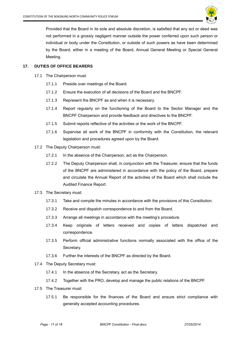

Provided that the Board in its sole and absolute discretion, is satisfied that any act or deed was not performed in a grossly negligent manner outside the power conferred upon such person or individual or body under the Constitution, or outside of such powers as have been determined by the Board, either in a meeting of the Board, Annual General Meeting or Special General Meeting.

# <span id="page-10-0"></span>**17. DUTIES OF OFFICE BEARERS**

- 17.1 The Chairperson must:
	- 17.1.1 Preside over meetings of the Board.
	- 17.1.2 Ensure the execution of all decisions of the Board and the BNCPF.
	- 17.1.3 Represent the BNCPF as and when it is necessary.
	- 17.1.4 Report regularly on the functioning of the Board to the Sector Manager and the BNCPF Chairperson and provide feedback and directives to the BNCPF.
	- 17.1.5 Submit reports reflective of the activities or the work of the BNCPF.
	- 17.1.6 Supervise all work of the BNCPF in conformity with the Constitution, the relevant legislation and procedures agreed upon by the Board.
- 17.2 The Deputy Chairperson must:
	- 17.2.1 In the absence of the Chairperson, act as the Chairperson.
	- 17.2.2 The Deputy Chairperson shall, in conjunction with the Treasurer, ensure that the funds of the BNCPF are administered in accordance with the policy of the Board, prepare and circulate the Annual Report of the activities of the Board which shall include the Audited Finance Report.
- 17.3 The Secretary must:
	- 17.3.1 Take and compile the minutes in accordance with the provisions of this Constitution.
	- 17.3.2 Receive and dispatch correspondence to and from the Board.
	- 17.3.3 Arrange all meetings in accordance with the meeting's procedure.
	- 17.3.4 Keep originals of letters received and copies of letters dispatched and correspondence.
	- 17.3.5 Perform official administrative functions normally associated with the office of the Secretary.
	- 17.3.6 Further the interests of the BNCPF as directed by the Board.
- 17.4 The Deputy Secretary must:
	- 17.4.1 In the absence of the Secretary, act as the Secretary.
	- 17.4.2 Together with the PRO, develop and manage the public relations of the BNCPF.
- 17.5 The Treasurer must:
	- 17.5.1 Be responsible for the finances of the Board and ensure strict compliance with generally accepted accounting procedures.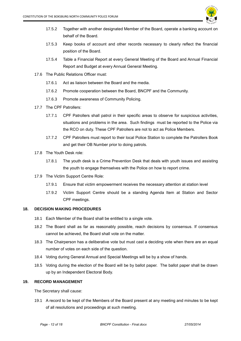

- 17.5.2 Together with another designated Member of the Board, operate a banking account on behalf of the Board.
- 17.5.3 Keep books of account and other records necessary to clearly reflect the financial position of the Board.
- 17.5.4 Table a Financial Report at every General Meeting of the Board and Annual Financial Report and Budget at every Annual General Meeting.
- 17.6 The Public Relations Officer must:
	- 17.6.1 Act as liaison between the Board and the media.
	- 17.6.2 Promote cooperation between the Board, BNCPF and the Community.
	- 17.6.3 Promote awareness of Community Policing.
- 17.7 The CPF Patrollers:
	- 17.7.1 CPF Patrollers shall patrol in their specific areas to observe for suspicious activities, situations and problems in the area. Such findings must be reported to the Police via the RCO on duty. These CPF Patrollers are not to act as Police Members.
	- 17.7.2 CPF Patrollers must report to their local Police Station to complete the Patrollers Book and get their OB Number prior to doing patrols.
- 17.8 The Youth Desk role:
	- 17.8.1 The youth desk is a Crime Prevention Desk that deals with youth issues and assisting the youth to engage themselves with the Police on how to report crime.
- 17.9 The Victim Support Centre Role:
	- 17.9.1 Ensure that victim empowerment receives the necessary attention at station level
	- 17.9.2 Victim Support Centre should be a standing Agenda Item at Station and Sector CPF meetings.

# <span id="page-11-0"></span>**18. DECISION MAKING PROCEDURES**

- 18.1 Each Member of the Board shall be entitled to a single vote.
- 18.2 The Board shall as far as reasonably possible, reach decisions by consensus. If consensus cannot be achieved, the Board shall vote on the matter.
- 18.3 The Chairperson has a deliberative vote but must cast a deciding vote when there are an equal number of votes on each side of the question.
- 18.4 Voting during General Annual and Special Meetings will be by a show of hands.
- 18.5 Voting during the election of the Board will be by ballot paper. The ballot paper shall be drawn up by an Independent Electoral Body.

# <span id="page-11-1"></span>**19. RECORD MANAGEMENT**

The Secretary shall cause:

19.1 A record to be kept of the Members of the Board present at any meeting and minutes to be kept of all resolutions and proceedings at such meeting.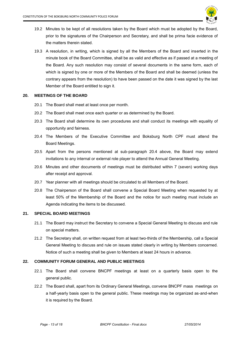

- 19.2 Minutes to be kept of all resolutions taken by the Board which must be adopted by the Board, prior to the signatures of the Chairperson and Secretary, and shall be prima facie evidence of the matters therein stated.
- 19.3 A resolution, in writing, which is signed by all the Members of the Board and inserted in the minute book of the Board Committee, shall be as valid and effective as if passed at a meeting of the Board. Any such resolution may consist of several documents in the same form, each of which is signed by one or more of the Members of the Board and shall be deemed (unless the contrary appears from the resolution) to have been passed on the date it was signed by the last Member of the Board entitled to sign it.

# <span id="page-12-0"></span>**20. MEETINGS OF THE BOARD**

- 20.1 The Board shall meet at least once per month.
- 20.2 The Board shall meet once each quarter or as determined by the Board.
- 20.3 The Board shall determine its own procedures and shall conduct its meetings with equality of opportunity and fairness.
- 20.4 The Members of the Executive Committee and Boksburg North CPF must attend the Board Meetings.
- 20.5 Apart from the persons mentioned at sub-paragraph 20.4 above, the Board may extend invitations to any internal or external role player to attend the Annual General Meeting.
- 20.6 Minutes and other documents of meetings must be distributed within 7 (seven) working days after receipt and approval.
- 20.7 Year planner with all meetings should be circulated to all Members of the Board.
- 20.8 The Chairperson of the Board shall convene a Special Board Meeting when requested by at least 50% of the Membership of the Board and the notice for such meeting must include an Agenda indicating the items to be discussed.

# <span id="page-12-1"></span>**21. SPECIAL BOARD MEETINGS**

- 21.1 The Board may instruct the Secretary to convene a Special General Meeting to discuss and rule on special matters.
- 21.2 The Secretary shall, on written request from at least two-thirds of the Membership, call a Special General Meeting to discuss and rule on issues stated clearly in writing by Members concerned. Notice of such a meeting shall be given to Members at least 24 hours in advance.

# <span id="page-12-2"></span>**22. COMMUNITY FORUM GENERAL AND PUBLIC MEETINGS**

- 22.1 The Board shall convene BNCPF meetings at least on a quarterly basis open to the general public.
- 22.2 The Board shall, apart from its Ordinary General Meetings, convene BNCPF mass meetings on a half-yearly basis open to the general public. These meetings may be organized as-and-when it is required by the Board.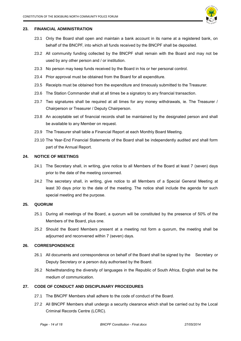

# <span id="page-13-0"></span>**23. FINANCIAL ADMINISTRATION**

- 23.1 Only the Board shall open and maintain a bank account in its name at a registered bank, on behalf of the BNCPF, into which all funds received by the BNCPF shall be deposited.
- 23.2 All community funding collected by the BNCPF shall remain with the Board and may not be used by any other person and / or institution.
- 23.3 No person may keep funds received by the Board in his or her personal control.
- 23.4 Prior approval must be obtained from the Board for all expenditure.
- 23.5 Receipts must be obtained from the expenditure and timeously submitted to the Treasurer.
- 23.6 The Station Commander shall at all times be a signatory to any financial transaction.
- 23.7 Two signatures shall be required at all times for any money withdrawals, ie. The Treasurer / Chairperson or Treasurer / Deputy Chairperson.
- 23.8 An acceptable set of financial records shall be maintained by the designated person and shall be available to any Member on request.
- 23.9 The Treasurer shall table a Financial Report at each Monthly Board Meeting.
- 23.10 The Year-End Financial Statements of the Board shall be independently audited and shall form part of the Annual Report.

# <span id="page-13-1"></span>**24. NOTICE OF MEETINGS**

- 24.1 The Secretary shall, in writing, give notice to all Members of the Board at least 7 (seven) days prior to the date of the meeting concerned.
- 24.2 The secretary shall, in writing, give notice to all Members of a Special General Meeting at least 30 days prior to the date of the meeting. The notice shall include the agenda for such special meeting and the purpose.

#### <span id="page-13-2"></span>**25. QUORUM**

- 25.1 During all meetings of the Board, a quorum will be constituted by the presence of 50% of the Members of the Board, plus one.
- 25.2 Should the Board Members present at a meeting not form a quorum, the meeting shall be adjourned and reconvened within 7 (seven) days.

# <span id="page-13-3"></span>**26. CORRESPONDENCE**

- 26.1 All documents and correspondence on behalf of the Board shall be signed by the Secretary or Deputy Secretary or a person duly authorised by the Board.
- 26.2 Notwithstanding the diversity of languages in the Republic of South Africa, English shall be the medium of communication.

# <span id="page-13-4"></span>**27. CODE OF CONDUCT AND DISCIPLINARY PROCEDURES**

- 27.1 The BNCPF Members shall adhere to the code of conduct of the Board.
- 27.2 All BNCPF Members shall undergo a security clearance which shall be carried out by the Local Criminal Records Centre (LCRC).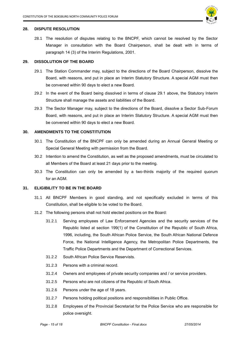

# <span id="page-14-0"></span>**28. DISPUTE RESOLUTION**

28.1 The resolution of disputes relating to the BNCPF, which cannot be resolved by the Sector Manager in consultation with the Board Chairperson, shall be dealt with in terms of paragraph 14 (3) of the Interim Regulations, 2001.

# <span id="page-14-1"></span>**29. DISSOLUTION OF THE BOARD**

- 29.1 The Station Commander may, subject to the directions of the Board Chairperson, dissolve the Board, with reasons, and put in place an Interim Statutory Structure. A special AGM must then be convened within 90 days to elect a new Board.
- 29.2 In the event of the Board being dissolved in terms of clause 29.1 above, the Statutory Interim Structure shall manage the assets and liabilities of the Board.
- 29.3 The Sector Manager may, subject to the directions of the Board, dissolve a Sector Sub-Forum Board, with reasons, and put in place an Interim Statutory Structure. A special AGM must then be convened within 90 days to elect a new Board.

#### <span id="page-14-2"></span>**30. AMENDMENTS TO THE CONSTITUTION**

- 30.1 The Constitution of the BNCPF can only be amended during an Annual General Meeting or Special General Meeting with permission from the Board.
- 30.2 Intention to amend the Constitution, as well as the proposed amendments, must be circulated to all Members of the Board at least 21 days prior to the meeting.
- 30.3 The Constitution can only be amended by a two-thirds majority of the required quorum for an AGM.

# <span id="page-14-3"></span>**31. ELIGIBILITY TO BE IN THE BOARD**

- 31.1 All BNCPF Members in good standing, and not specifically excluded in terms of this Constitution, shall be eligible to be voted to the Board.
- 31.2 The following persons shall not hold elected positions on the Board:
	- 31.2.1 Serving employees of Law Enforcement Agencies and the security services of the Republic listed at section 199(1) of the Constitution of the Republic of South Africa, 1996, including, the South African Police Service, the South African National Defence Force, the National Intelligence Agency, the Metropolitan Police Departments, the Traffic Police Departments and the Department of Correctional Services.
	- 31.2.2 South African Police Service Reservists.
	- 31.2.3 Persons with a criminal record.
	- 31.2.4 Owners and employees of private security companies and / or service providers.
	- 31.2.5 Persons who are not citizens of the Republic of South Africa.
	- 31.2.6 Persons under the age of 18 years.
	- 31.2.7 Persons holding political positions and responsibilities in Public Office.
	- 31.2.8 Employees of the Provincial Secretariat for the Police Service who are responsible for police oversight.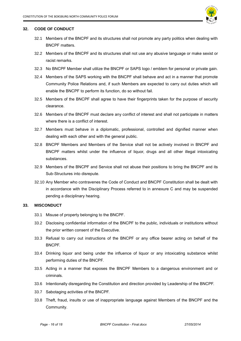

### **32. CODE OF CONDUCT**

- <span id="page-15-0"></span>32.1 Members of the BNCPF and its structures shall not promote any party politics when dealing with BNCPF matters.
- 32.2 Members of the BNCPF and its structures shall not use any abusive language or make sexist or racist remarks.
- 32.3 No BNCPF Member shall utilize the BNCPF or SAPS logo / emblem for personal or private gain.
- 32.4 Members of the SAPS working with the BNCPF shall behave and act in a manner that promote Community Police Relations and, if such Members are expected to carry out duties which will enable the BNCPF to perform its function, do so without fail.
- 32.5 Members of the BNCPF shall agree to have their fingerprints taken for the purpose of security clearance.
- 32.6 Members of the BNCPF must declare any conflict of interest and shall not participate in matters where there is a conflict of interest.
- 32.7 Members must behave in a diplomatic, professional, controlled and dignified manner when dealing with each other and with the general public.
- 32.8 BNCPF Members and Members of the Service shall not be actively involved in BNCPF and BNCPF matters whilst under the influence of liquor, drugs and all other illegal intoxicating substances.
- 32.9 Members of the BNCPF and Service shall not abuse their positions to bring the BNCPF and its Sub-Structures into disrepute.
- 32.10 Any Member who contravenes the Code of Conduct and BNCPF Constitution shall be dealt with in accordance with the Disciplinary Process referred to in annexure C and may be suspended pending a disciplinary hearing.

# <span id="page-15-1"></span>**33. MISCONDUCT**

- 33.1 Misuse of property belonging to the BNCPF.
- 33.2 Disclosing confidential information of the BNCPF to the public, individuals or institutions without the prior written consent of the Executive.
- 33.3 Refusal to carry out instructions of the BNCPF or any office bearer acting on behalf of the BNCPF.
- 33.4 Drinking liquor and being under the influence of liquor or any intoxicating substance whilst performing duties of the BNCPF.
- 33.5 Acting in a manner that exposes the BNCPF Members to a dangerous environment and or criminals.
- 33.6 Intentionally disregarding the Constitution and direction provided by Leadership of the BNCPF.
- 33.7 Sabotaging activities of the BNCPF.
- 33.8 Theft, fraud, insults or use of inappropriate language against Members of the BNCPF and the Community.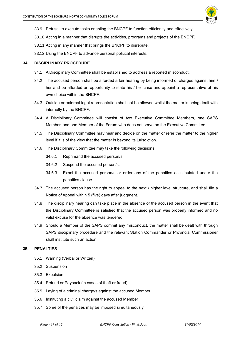

- 33.9 Refusal to execute tasks enabling the BNCPF to function efficiently and effectively.
- 33.10 Acting in a manner that disrupts the activities, programs and projects of the BNCPF.
- 33.11 Acting in any manner that brings the BNCPF to disrepute.
- 33.12 Using the BNCPF to advance personal political interests.

# <span id="page-16-0"></span>**34. DISCIPLINARY PROCEDURE**

- 34.1 A Disciplinary Committee shall be established to address a reported misconduct.
- 34.2 The accused person shall be afforded a fair hearing by being informed of charges against him / her and be afforded an opportunity to state his / her case and appoint a representative of his own choice within the BNCPF.
- 34.3 Outside or external legal representation shall not be allowed whilst the matter is being dealt with internally by the BNCPF.
- 34.4 A Disciplinary Committee will consist of two Executive Committee Members, one SAPS Member, and one Member of the Forum who does not serve on the Executive Committee.
- 34.5 The Disciplinary Committee may hear and decide on the matter or refer the matter to the higher level if it is of the view that the matter is beyond its jurisdiction.
- 34.6 The Disciplinary Committee may take the following decisions:
	- 34.6.1 Reprimand the accused person/s,
	- 34.6.2 Suspend the accused person/s,
	- 34.6.3 Expel the accused person/s or order any of the penalties as stipulated under the penalties clause.
- 34.7 The accused person has the right to appeal to the next / higher level structure, and shall file a Notice of Appeal within 5 (five) days after judgment.
- 34.8 The disciplinary hearing can take place in the absence of the accused person in the event that the Disciplinary Committee is satisfied that the accused person was properly informed and no valid excuse for the absence was tendered.
- 34.9 Should a Member of the SAPS commit any misconduct, the matter shall be dealt with through SAPS disciplinary procedure and the relevant Station Commander or Provincial Commissioner shall institute such an action.

# <span id="page-16-1"></span>**35. PENALTIES**

- 35.1 Warning (Verbal or Written)
- 35.2 Suspension
- 35.3 Expulsion
- 35.4 Refund or Payback (in cases of theft or fraud)
- 35.5 Laying of a criminal charge/s against the accused Member
- 35.6 Instituting a civil claim against the accused Member
- 35.7 Some of the penalties may be imposed simultaneously